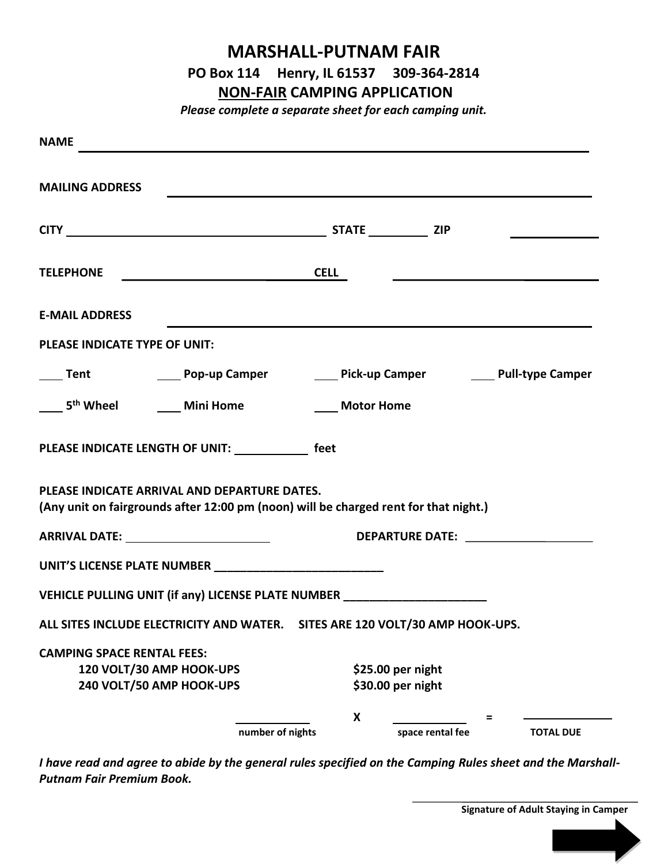## **MARSHALL-PUTNAM FAIR PO Box 114 Henry, IL 61537 309-364-2814**

## **NON-FAIR CAMPING APPLICATION**

*Please complete a separate sheet for each camping unit.*

| <b>NAME</b>                       |                                                                                                                                                                                                                                                |                   |                  |                  |
|-----------------------------------|------------------------------------------------------------------------------------------------------------------------------------------------------------------------------------------------------------------------------------------------|-------------------|------------------|------------------|
| <b>MAILING ADDRESS</b>            | <u> Andreas Andreas Andreas Andreas Andreas Andreas Andreas Andreas Andreas Andreas Andreas Andreas Andreas Andr</u>                                                                                                                           |                   |                  |                  |
|                                   |                                                                                                                                                                                                                                                |                   |                  |                  |
|                                   | TELEPHONE CELL                                                                                                                                                                                                                                 |                   |                  |                  |
| <b>E-MAIL ADDRESS</b>             |                                                                                                                                                                                                                                                |                   |                  |                  |
| PLEASE INDICATE TYPE OF UNIT:     |                                                                                                                                                                                                                                                |                   |                  |                  |
|                                   |                                                                                                                                                                                                                                                |                   |                  |                  |
|                                   | 5 <sup>th</sup> Wheel <b>Communist Communist Communist Communist Communist Communist Communist Communist Communist Communist Communist Communist Communist Communist Communist Communist Communist Communist Communist Communist Communist</b> | <b>Motor Home</b> |                  |                  |
|                                   | PLEASE INDICATE LENGTH OF UNIT: feet                                                                                                                                                                                                           |                   |                  |                  |
|                                   | PLEASE INDICATE ARRIVAL AND DEPARTURE DATES.<br>(Any unit on fairgrounds after 12:00 pm (noon) will be charged rent for that night.)                                                                                                           |                   |                  |                  |
|                                   |                                                                                                                                                                                                                                                |                   |                  |                  |
|                                   |                                                                                                                                                                                                                                                |                   |                  |                  |
|                                   | VEHICLE PULLING UNIT (if any) LICENSE PLATE NUMBER _____________________________                                                                                                                                                               |                   |                  |                  |
|                                   | ALL SITES INCLUDE ELECTRICITY AND WATER. SITES ARE 120 VOLT/30 AMP HOOK-UPS.                                                                                                                                                                   |                   |                  |                  |
| <b>CAMPING SPACE RENTAL FEES:</b> |                                                                                                                                                                                                                                                |                   |                  |                  |
|                                   | 120 VOLT/30 AMP HOOK-UPS                                                                                                                                                                                                                       | \$25.00 per night |                  |                  |
|                                   | 240 VOLT/50 AMP HOOK-UPS                                                                                                                                                                                                                       | \$30.00 per night |                  |                  |
|                                   |                                                                                                                                                                                                                                                | X                 |                  |                  |
|                                   | number of nights                                                                                                                                                                                                                               |                   | space rental fee | <b>TOTAL DUE</b> |

*I have read and agree to abide by the general rules specified on the Camping Rules sheet and the Marshall-Putnam Fair Premium Book.*

**Signature of Adult Staying in Camper**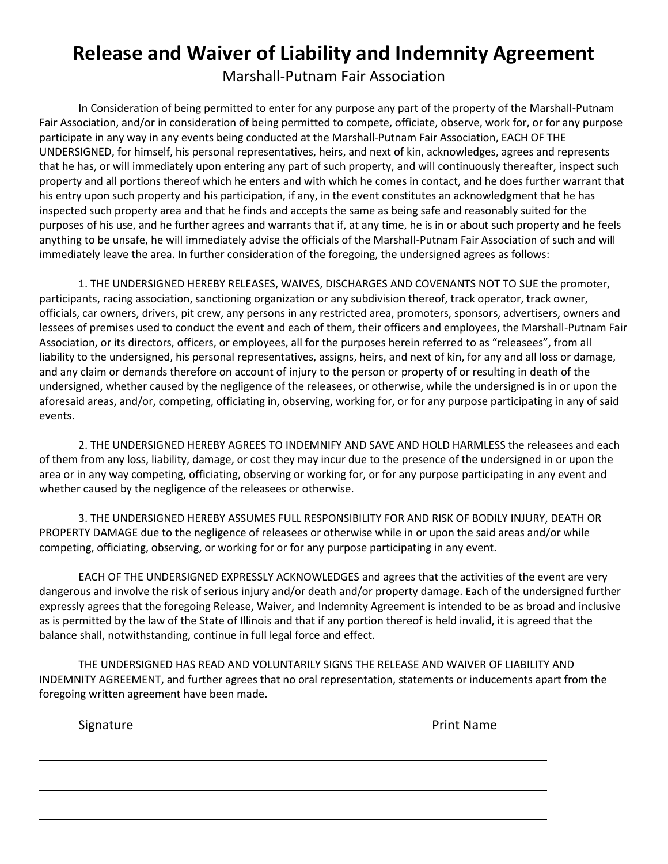## **Release and Waiver of Liability and Indemnity Agreement**

Marshall-Putnam Fair Association

In Consideration of being permitted to enter for any purpose any part of the property of the Marshall-Putnam Fair Association, and/or in consideration of being permitted to compete, officiate, observe, work for, or for any purpose participate in any way in any events being conducted at the Marshall-Putnam Fair Association, EACH OF THE UNDERSIGNED, for himself, his personal representatives, heirs, and next of kin, acknowledges, agrees and represents that he has, or will immediately upon entering any part of such property, and will continuously thereafter, inspect such property and all portions thereof which he enters and with which he comes in contact, and he does further warrant that his entry upon such property and his participation, if any, in the event constitutes an acknowledgment that he has inspected such property area and that he finds and accepts the same as being safe and reasonably suited for the purposes of his use, and he further agrees and warrants that if, at any time, he is in or about such property and he feels anything to be unsafe, he will immediately advise the officials of the Marshall-Putnam Fair Association of such and will immediately leave the area. In further consideration of the foregoing, the undersigned agrees as follows:

1. THE UNDERSIGNED HEREBY RELEASES, WAIVES, DISCHARGES AND COVENANTS NOT TO SUE the promoter, participants, racing association, sanctioning organization or any subdivision thereof, track operator, track owner, officials, car owners, drivers, pit crew, any persons in any restricted area, promoters, sponsors, advertisers, owners and lessees of premises used to conduct the event and each of them, their officers and employees, the Marshall-Putnam Fair Association, or its directors, officers, or employees, all for the purposes herein referred to as "releasees", from all liability to the undersigned, his personal representatives, assigns, heirs, and next of kin, for any and all loss or damage, and any claim or demands therefore on account of injury to the person or property of or resulting in death of the undersigned, whether caused by the negligence of the releasees, or otherwise, while the undersigned is in or upon the aforesaid areas, and/or, competing, officiating in, observing, working for, or for any purpose participating in any of said events.

2. THE UNDERSIGNED HEREBY AGREES TO INDEMNIFY AND SAVE AND HOLD HARMLESS the releasees and each of them from any loss, liability, damage, or cost they may incur due to the presence of the undersigned in or upon the area or in any way competing, officiating, observing or working for, or for any purpose participating in any event and whether caused by the negligence of the releasees or otherwise.

3. THE UNDERSIGNED HEREBY ASSUMES FULL RESPONSIBILITY FOR AND RISK OF BODILY INJURY, DEATH OR PROPERTY DAMAGE due to the negligence of releasees or otherwise while in or upon the said areas and/or while competing, officiating, observing, or working for or for any purpose participating in any event.

EACH OF THE UNDERSIGNED EXPRESSLY ACKNOWLEDGES and agrees that the activities of the event are very dangerous and involve the risk of serious injury and/or death and/or property damage. Each of the undersigned further expressly agrees that the foregoing Release, Waiver, and Indemnity Agreement is intended to be as broad and inclusive as is permitted by the law of the State of Illinois and that if any portion thereof is held invalid, it is agreed that the balance shall, notwithstanding, continue in full legal force and effect.

THE UNDERSIGNED HAS READ AND VOLUNTARILY SIGNS THE RELEASE AND WAIVER OF LIABILITY AND INDEMNITY AGREEMENT, and further agrees that no oral representation, statements or inducements apart from the foregoing written agreement have been made.

 $\overline{\phantom{0}}$ 

L

 $\overline{\phantom{0}}$ 

Signature **Print Name**